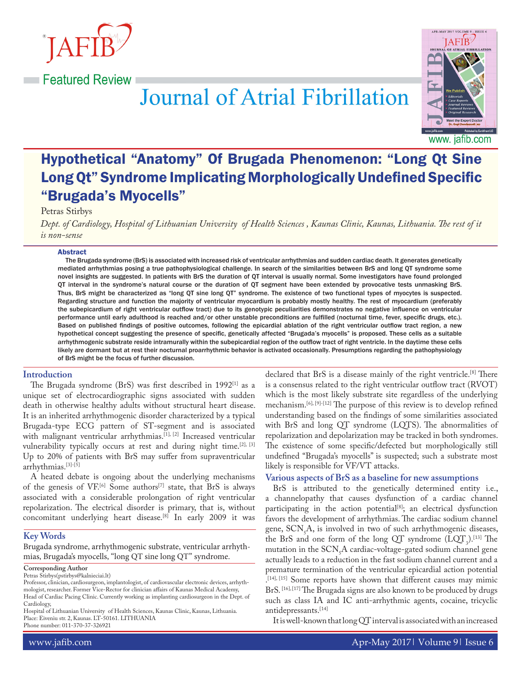

**Example 2** Featured Review



# **Journal of Atrial Fibrillation**

# Hypothetical "Anatomy" Of Brugada Phenomenon: "Long Qt Sine Long Qt" Syndrome Implicating Morphologically Undefined Specific "Brugada's Myocells"

#### Petras Stirbys

*Dept. of Cardiology, Hospital of Lithuanian University of Health Sciences , Kaunas Clinic, Kaunas, Lithuania. The rest of it is non-sense*

#### Abstract

The Brugada syndrome (BrS) is associated with increased risk of ventricular arrhythmias and sudden cardiac death. It generates genetically mediated arrhythmias posing a true pathophysiological challenge. In search of the similarities between BrS and long QT syndrome some novel insights are suggested. In patients with BrS the duration of QT interval is usually normal. Some investigators have found prolonged QT interval in the syndrome's natural course or the duration of QT segment have been extended by provocative tests unmasking BrS. Thus, BrS might be characterized as "long QT sine long QT" syndrome. The existence of two functional types of myocytes is suspected. Regarding structure and function the majority of ventricular myocardium is probably mostly healthy. The rest of myocardium (preferably the subepicardium of right ventricular outflow tract) due to its genotypic peculiarities demonstrates no negative influence on ventricular performance until early adulthood is reached and/or other unstable preconditions are fulfilled (nocturnal time, fever, specific drugs, etc.). Based on published findings of positive outcomes, following the epicardial ablation of the right ventricular outflow tract region, a new hypothetical concept suggesting the presence of specific, genetically affected "Brugada's myocells" is proposed. These cells as a suitable arrhythmogenic substrate reside intramurally within the subepicardial region of the outflow tract of right ventricle. In the daytime these cells likely are dormant but at rest their nocturnal proarrhythmic behavior is activated occasionally. Presumptions regarding the pathophysiology of BrS might be the focus of further discussion.

#### **Introduction**

The Brugada syndrome (BrS) was first described in 1992 $^{[1]}$  as a unique set of electrocardiographic signs associated with sudden death in otherwise healthy adults without structural heart disease. It is an inherited arrhythmogenic disorder characterized by a typical Brugada-type ECG pattern of ST-segment and is associated with malignant ventricular arrhythmias.<sup>[1], [2]</sup> Increased ventricular vulnerability typically occurs at rest and during night time.  $[2]$ ,  $[3]$ Up to 20% of patients with BrS may suffer from supraventricular arrhythmias.[3]-[5]

A heated debate is ongoing about the underlying mechanisms of the genesis of VF.<sup>[6]</sup> Some authors<sup>[7]</sup> state, that BrS is always associated with a considerable prolongation of right ventricular repolarization. The electrical disorder is primary, that is, without concomitant underlying heart disease.[8] In early 2009 it was

#### **Key Words**

Brugada syndrome, arrhythmogenic substrate, ventricular arrhythmias, Brugada's myocells, "long QT sine long QT" syndrome.

**Corresponding Author**

Petras Stirbys(pstirbys@kalnieciai.lt)

Hospital of Lithuanian University of Health Sciences, Kaunas Clinic, Kaunas, Lithuania. Place: Eiveniu str. 2, Kaunas. LT-50161. LITHUANIA

Phone number: 011-370-37-326921

declared that BrS is a disease mainly of the right ventricle.[8] There is a consensus related to the right ventricular outflow tract (RVOT) which is the most likely substrate site regardless of the underlying mechanism.[6], [9]-[12] The purpose of this review is to develop refined understanding based on the findings of some similarities associated with BrS and long QT syndrome (LQTS). The abnormalities of repolarization and depolarization may be tracked in both syndromes. The existence of some specific/defected but morphologically still undefined "Brugada's myocells" is suspected; such a substrate most likely is responsible for VF/VT attacks.

#### **Various aspects of BrS as a baseline for new assumptions**

BrS is attributed to the genetically determined entity i.e., a channelopathy that causes dysfunction of a cardiac channel participating in the action potential<sup>[8]</sup>; an electrical dysfunction favors the development of arrhythmias. The cardiac sodium channel gene,  $SCN_5A$ , is involved in two of such arrhythmogenic diseases, the BrS and one form of the long  $QT$  syndrome  $(LQT_3)$ .[13] The mutation in the  $SCN<sub>5</sub>A$  cardiac-voltage-gated sodium channel gene actually leads to a reduction in the fast sodium channel current and a premature termination of the ventricular epicardial action potential . [14], [15] Some reports have shown that different causes may mimic BrS. [16], [17] The Brugada signs are also known to be produced by drugs such as class IA and IC anti-arrhythmic agents, cocaine, tricyclic antidepressants.[14]

It is well-known that long QT interval is associated with an increased

Professor, clinician, cardiosurgeon, implantologist, of cardiovascular electronic devices, arrhythmologist, researcher. Former Vice-Rector for clinician affairs of Kaunas Medical Academy, Head of Cardiac Pacing Clinic. Currently working as implanting cardiosurgeon in the Dept. of Cardiology,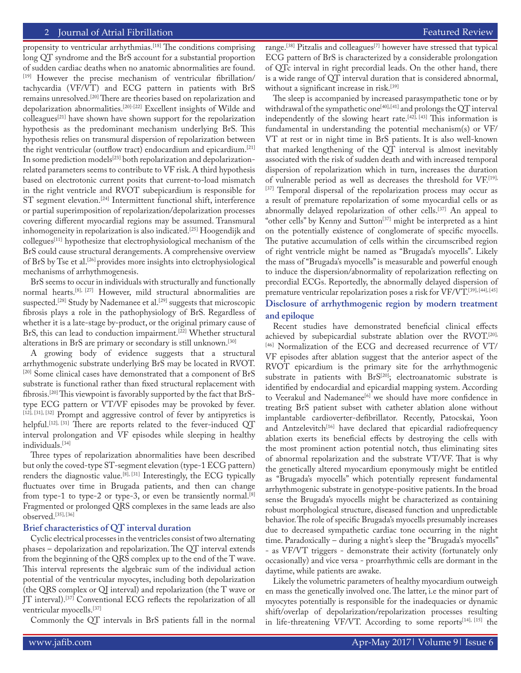#### 2 Journal of Atrial Fibrillation Featured Review Featured Review Featured Review Featured Review

propensity to ventricular arrhythmias.<sup>[18]</sup> The conditions comprising long QT syndrome and the BrS account for a substantial proportion of sudden cardiac deaths when no anatomic abnormalities are found. [19] However the precise mechanism of ventricular fibrillation/ tachycardia (VF/VT) and ECG pattern in patients with BrS remains unresolved.[20] There are theories based on repolarization and depolarization abnormalities.[20]-[22] Excellent insights of Wilde and colleagues[21] have shown have shown support for the repolarization hypothesis as the predominant mechanism underlying BrS. This hypothesis relies on transmural dispersion of repolarization between the right ventricular (outflow tract) endocardium and epicardium.[21] In some prediction models<sup>[23]</sup> both repolarization and depolarizationrelated parameters seems to contribute to VF risk. A third hypothesis based on electrotonic current posits that current-to-load mismatch in the right ventricle and RVOT subepicardium is responsible for ST segment elevation.<sup>[24]</sup> Intermittent functional shift, interference or partial superimposition of repolarization/depolarization processes covering different myocardial regions may be assumed. Transmural inhomogeneity in repolarization is also indicated.[25] Hoogendijk and collegues[11] hypothesize that electrophysiological mechanism of the BrS could cause structural derangements. A comprehensive overview of BrS by Tse et al.[26] provides more insights into elctrophysiological mechanisms of arrhythmogenesis.

BrS seems to occur in individuals with structurally and functionally normal hearts.[8], [27] However, mild structural abnormalities are suspected.<sup>[28]</sup> Study by Nademanee et al.<sup>[29]</sup> suggests that microscopic fibrosis plays a role in the pathophysiology of BrS. Regardless of whether it is a late-stage by-product, or the original primary cause of BrS, this can lead to conduction impairment.<sup>[22]</sup> Whether structural alterations in BrS are primary or secondary is still unknown.[30]

A growing body of evidence suggests that a structural arrhythmogenic substrate underlying BrS may be located in RVOT. [20] Some clinical cases have demonstrated that a component of BrS substrate is functional rather than fixed structural replacement with fibrosis.[20] This viewpoint is favorably supported by the fact that BrStype ECG pattern or VT/VF episodes may be provoked by fever. [12], [31], [32] Prompt and aggressive control of fever by antipyretics is helpful.<sup>[12], [31]</sup> There are reports related to the fever-induced QT interval prolongation and VF episodes while sleeping in healthy individuals.[34]

Three types of repolarization abnormalities have been described but only the coved-type ST-segment elevation (type-1 ECG pattern) renders the diagnostic value.[8], [31] Interestingly, the ECG typically fluctuates over time in Brugada patients, and then can change from type-1 to type-2 or type-3, or even be transiently normal.<sup>[8]</sup> Fragmented or prolonged QRS complexes in the same leads are also observed.[35], [36]

#### **Brief characteristics of QT interval duration**

Cyclic electrical processes in the ventricles consist of two alternating phases – depolarization and repolarization. The QT interval extends from the beginning of the QRS complex up to the end of the T wave. This interval represents the algebraic sum of the individual action potential of the ventricular myocytes, including both depolarization (the QRS complex or QJ interval) and repolarization (the T wave or JT interval).<sup>[37]</sup> Conventional ECG reflects the repolarization of all ventricular myocells.[37]

Commonly the QT intervals in BrS patients fall in the normal

range.[38] Pitzalis and colleagues[7] however have stressed that typical ECG pattern of BrS is characterized by a considerable prolongation of QTc interval in right precordial leads. On the other hand, there is a wide range of QT interval duration that is considered abnormal, without a significant increase in risk.<sup>[39]</sup>

The sleep is accompanied by increased parasympathetic tone or by withdrawal of the sympathetic one<sup>[40], [41]</sup> and prolongs the QT interval independently of the slowing heart rate.<sup>[42], [43]</sup> This information is fundamental in understanding the potential mechanism(s) or VF/ VT at rest or in night time in BrS patients. It is also well-known that marked lengthening of the QT interval is almost inevitably associated with the risk of sudden death and with increased temporal dispersion of repolarization which in turn, increases the duration of vulnerable period as well as decreases the threshold for VF.[19], [37] Temporal dispersal of the repolarization process may occur as a result of premature repolarization of some myocardial cells or as abnormally delayed repolarization of other cells.[37] An appeal to "other cells" by Kenny and Sutton<sup>[37]</sup> might be interpreted as a hint on the potentially existence of conglomerate of specific myocells. The putative accumulation of cells within the circumscribed region of right ventricle might be named as "Brugada's myocells". Likely the mass of "Brugada's myocells" is measurable and powerful enough to induce the dispersion/abnormality of repolarization reflecting on precordial ECGs. Reportedly, the abnormally delayed dispersion of premature ventricular repolarization poses a risk for VF/VT.[39], [44], [45] **Disclosure of arrhythmogenic region by modern treatment and epiloque**

Recent studies have demonstrated beneficial clinical effects achieved by subepicardial substrate ablation over the RVOT.[20], [46] Normalization of the ECG and decreased recurrence of VT/ VF episodes after ablation suggest that the anterior aspect of the RVOT epicardium is the primary site for the arrhythmogenic substrate in patients with  $BrS^{[20]}$ ; electroanatomic substrate is identified by endocardial and epicardial mapping system. According to Veerakul and Nademanee<sup>[6]</sup> we should have more confidence in treating BrS patient subset with catheter ablation alone without implantable cardioverter-defibrillator. Recently, Patocskai, Yoon and Antzelevitch<sup>[16]</sup> have declared that epicardial radiofrequency ablation exerts its beneficial effects by destroying the cells with the most prominent action potential notch, thus eliminating sites of abnormal repolarization and the substrate VT/VF. That is why the genetically altered myocardium eponymously might be entitled as "Brugada's myocells" which potentially represent fundamental arrhythmogenic substrate in genotype-positive patients. In the broad sense the Brugada's myocells might be characterized as containing robust morphological structure, diseased function and unpredictable behavior. The role of specific Brugada's myocells presumably increases due to decreased sympathetic cardiac tone occurring in the night time. Paradoxically – during a night's sleep the "Brugada's myocells" - as VF/VT triggers - demonstrate their activity (fortunately only occasionally) and vice versa - proarrhythmic cells are dormant in the daytime, while patients are awake.

Likely the volumetric parameters of healthy myocardium outweigh en mass the genetically involved one. The latter, i.e the minor part of myocytes potentially is responsible for the inadequacies or dynamic shift/overlap of depolarization/repolarization processes resulting in life-threatening VF/VT. According to some reports<sup>[14], [15]</sup> the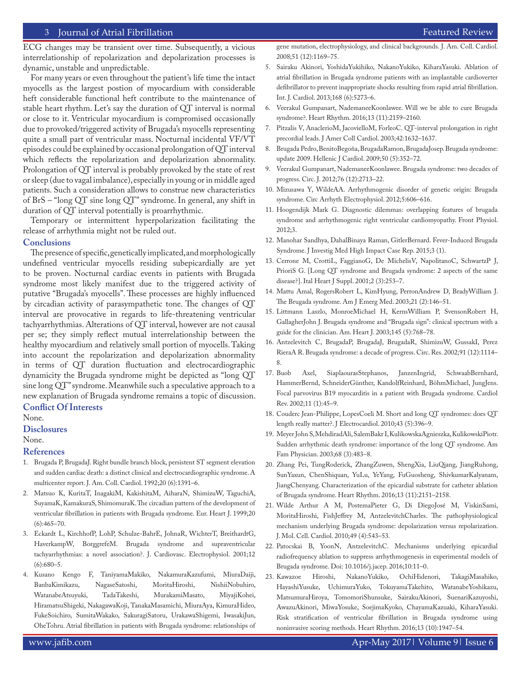### 3 Journal of Atrial Fibrillation Featured Review Featured Review Featured Review Featured Review Featured Review

ECG changes may be transient over time. Subsequently, a vicious interrelationship of repolarization and depolarization processes is dynamic, unstable and unpredictable.

For many years or even throughout the patient's life time the intact myocells as the largest postion of myocardium with considerable heft considerable functional heft contribute to the maintenance of stable heart rhythm. Let's say the duration of QT interval is normal or close to it. Ventricular myocardium is compromised occasionally due to provoked/triggered activity of Brugada's myocells representing quite a small part of ventricular mass. Nocturnal incidental VF/VT episodes could be explained by occasional prolongation of QT interval which reflects the repolarization and depolarization abnormality. Prolongation of QT interval is probably provoked by the state of rest or sleep (due to vagal imbalance), especially in young or in middle aged patients. Such a consideration allows to construe new characteristics of BrS – "long QT sine long QT" syndrome. In general, any shift in duration of QT interval potentially is proarrhythmic.

Temporary or intermittent hyperpolarization facilitating the release of arrhythmia might not be ruled out.

#### **Conclusions**

The presence of specific, genetically implicated, and morphologically undefined ventricular myocells residing subepicardially are yet to be proven. Nocturnal cardiac events in patients with Brugada syndrome most likely manifest due to the triggered activity of putative "Brugada's myocells". These processes are highly influenced by circadian activity of parasympathetic tone. The changes of QT interval are provocative in regards to life-threatening ventricular tachyarrhythmias. Alterations of QT interval, however are not causal per se; they simply reflect mutual interrelationship between the healthy myocardium and relatively small portion of myocells. Taking into account the repolarization and depolarization abnormality in terms of QT duration fluctuation and electrocardiographic dynamicity the Brugada syndrome might be depicted as "long QT sine long QT" syndrome. Meanwhile such a speculative approach to a new explanation of Brugada syndrome remains a topic of discussion.

# **Conflict Of Interests**

None.

## **Disclosures**

None.

#### **References**

- 1. Brugada P, BrugadaJ. Right bundle branch block, persistent ST segment elevation and sudden cardiac death: a distinct clinical and electrocardiographic syndrome. A multicenter report. J. Am. Coll. Cardiol. 1992;20 (6):1391–6.
- 2. Matsuo K, KuritaT, InagakiM, KakishitaM, AiharaN, ShimizuW, TaguchiA, SuyamaK, KamakuraS, ShimomuraK. The circadian pattern of the development of ventricular fibrillation in patients with Brugada syndrome. Eur. Heart J. 1999;20  $(6):465 - 70.$
- 3. Eckardt L, KirchhofP, LohP, Schulze-BahrE, JohnaR, WichterT, BreithardtG, HaverkampW, BorggrefeM. Brugada syndrome and supraventricular tachyarrhythmias: a novel association?. J. Cardiovasc. Electrophysiol. 2001;12  $(6):680-5.$
- 4. Kusano Kengo F, TaniyamaMakiko, NakamuraKazufumi, MiuraDaiji, BanbaKimikazu, NagaseSatoshi, MoritaHiroshi, NishiiNobuhiro, WatanabeAtsuyuki, TadaTakeshi, MurakamiMasato, MiyajiKohei, HiramatsuShigeki, NakagawaKoji, TanakaMasamichi, MiuraAya, KimuraHideo, FukeSoichiro, SumitaWakako, SakuragiSatoru, UrakawaShigemi, IwasakiJun, OheTohru. Atrial fibrillation in patients with Brugada syndrome: relationships of

gene mutation, electrophysiology, and clinical backgrounds. J. Am. Coll. Cardiol. 2008;51 (12):1169–75.

- 5. Sairaku Akinori, YoshidaYukihiko, NakanoYukiko, KiharaYasuki. Ablation of atrial fibrillation in Brugada syndrome patients with an implantable cardioverter defibrillator to prevent inappropriate shocks resulting from rapid atrial fibrillation. Int. J. Cardiol. 2013;168 (6):5273–6.
- 6. Veerakul Gumpanart, NademaneeKoonlawee. Will we be able to cure Brugada syndrome?. Heart Rhythm. 2016;13 (11):2159–2160.
- 7. Pitzalis V, AnaclerioM, JacovielloM, ForleoC. QT-interval prolongation in right precordial leads. J Amer Coll Cardiol. 2003;42:1632–1637.
- 8. Brugada Pedro, BenitoBegoña, BrugadaRamon, BrugadaJosep. Brugada syndrome: update 2009. Hellenic J Cardiol. 2009;50 (5):352–72.
- 9. Veerakul Gumpanart, NademaneeKoonlawee. Brugada syndrome: two decades of progress. Circ. J. 2012;76 (12):2713–22.
- 10. Mizusawa Y, WildeAA. Arrhythmogenic disorder of genetic origin: Brugada syndrome. Circ Arrhyth Electrophysiol. 2012;5:606–616.
- 11. Hoogendijk Mark G. Diagnostic dilemmas: overlapping features of brugada syndrome and arrhythmogenic right ventricular cardiomyopathy. Front Physiol. 2012;3.
- 12. Manohar Sandhya, DahalBinaya Raman, GitlerBernard. Fever-Induced Brugada Syndrome. J Investig Med High Impact Case Rep. 2015;3 (1).
- 13. Cerrone M, CrottiL, FaggianoG, De MichelisV, NapolitanoC, SchwartzP J, PrioriS G. [Long QT syndrome and Brugada syndrome: 2 aspects of the same disease?]. Ital Heart J Suppl. 2001;2 (3):253–7.
- 14. Mattu Amal, RogersRobert L, KimHyung, PerronAndrew D, BradyWilliam J. The Brugada syndrome. Am J Emerg Med. 2003;21 (2):146–51.
- 15. Littmann Laszlo, MonroeMichael H, KernsWilliam P, SvensonRobert H, GallagherJohn J. Brugada syndrome and "Brugada sign": clinical spectrum with a guide for the clinician. Am. Heart J. 2003;145 (5):768–78.
- 16. Antzelevitch C, BrugadaP, BrugadaJ, BrugadaR, ShimizuW, GussakI, Perez RieraA R. Brugada syndrome: a decade of progress. Circ. Res. 2002;91 (12):1114– 8.
- 17. Buob Axel, SiaplaourasStephanos, JanzenIngrid, SchwaabBernhard, HammerBernd, SchneiderGünther, KandolfReinhard, BöhmMichael, JungJens. Focal parvovirus B19 myocarditis in a patient with Brugada syndrome. Cardiol Rev. 2002;11 (1):45–9.
- 18. Couderc Jean-Philippe, LopesCoeli M. Short and long QT syndromes: does QT length really matter?. J Electrocardiol. 2010;43 (5):396–9.
- 19. Meyer John S, MehdiradAli, SalemBakr I, KulikowskaAgnieszka, KulikowskiPiotr. Sudden arrhythmic death syndrome: importance of the long QT syndrome. Am Fam Physician. 2003;68 (3):483–8.
- 20. Zhang Pei, TungRoderick, ZhangZuwen, ShengXia, LiuQiang, JiangRuhong, SunYaxun, ChenShiquan, YuLu, YeYang, FuGuosheng, ShivkumarKalyanam, JiangChenyang. Characterization of the epicardial substrate for catheter ablation of Brugada syndrome. Heart Rhythm. 2016;13 (11):2151–2158.
- 21. Wilde Arthur A M, PostemaPieter G, Di DiegoJosé M, ViskinSami, MoritaHiroshi, FishJeffrey M, AntzelevitchCharles. The pathophysiological mechanism underlying Brugada syndrome: depolarization versus repolarization. J. Mol. Cell. Cardiol. 2010;49 (4):543–53.
- 22. Patocskai B, YoonN, AntzelevitchC. Mechanisms underlying epicardial radiofrequency ablation to suppress arrhythmogenesis in experimental models of Brugada syndrome. Doi: 10.1016/j.jacep. 2016;10:11–0.
- 23. Kawazoe Hiroshi, NakanoYukiko, OchiHidenori, TakagiMasahiko, HayashiYusuke, UchimuraYuko, TokuyamaTakehito, WatanabeYoshikazu, MatsumuraHiroya, TomomoriShunsuke, SairakuAkinori, SuenariKazuyoshi, AwazuAkinori, MiwaYosuke, SoejimaKyoko, ChayamaKazuaki, KiharaYasuki. Risk stratification of ventricular fibrillation in Brugada syndrome using noninvasive scoring methods. Heart Rhythm. 2016;13 (10):1947–54.